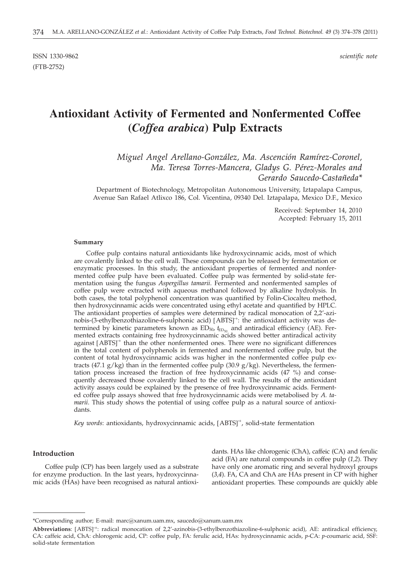ISSN 1330-9862 *scientific note* (FTB-2752)

# **Antioxidant Activity of Fermented and Nonfermented Coffee (***Coffea arabica***) Pulp Extracts**

*Miguel Angel Arellano-González, Ma. Ascención Ramírez-Coronel, Ma. Teresa Torres-Mancera, Gladys G. Pérez-Morales and Gerardo Saucedo-Castañeda\**

Department of Biotechnology, Metropolitan Autonomous University, Iztapalapa Campus, Avenue San Rafael Atlixco 186, Col. Vicentina, 09340 Del. Iztapalapa, Mexico D.F., Mexico

> Received: September 14, 2010 Accepted: February 15, 2011

#### **Summary**

Coffee pulp contains natural antioxidants like hydroxycinnamic acids, most of which are covalently linked to the cell wall. These compounds can be released by fermentation or enzymatic processes. In this study, the antioxidant properties of fermented and nonfermented coffee pulp have been evaluated. Coffee pulp was fermented by solid-state fermentation using the fungus *Aspergillus tamarii*. Fermented and nonfermented samples of coffee pulp were extracted with aqueous methanol followed by alkaline hydrolysis. In both cases, the total polyphenol concentration was quantified by Folin-Ciocalteu method, then hydroxycinnamic acids were concentrated using ethyl acetate and quantified by HPLC. The antioxidant properties of samples were determined by radical monocation of 2,2'-azinobis-(3-ethylbenzothiazoline-6-sulphonic acid) [ABTS]<sup>+</sup>: the antioxidant activity was de-<br>termined by kinetic parameters known as FD<sub>50</sub> t<sub>ree</sub> and antiradical efficiency (AF). Fertermined by kinetic parameters known as ED<sub>50</sub>,  $t_{\rm ED_{50}}$  and antiradical efficiency (AE). Fermented extracts containing free hydroxycinnamic acids showed better antiradical activity against [ABTS]<sup>+</sup> than the other nonfermented ones. There were no significant differences<br>in the total content of polyphenols in fermented and ponfermented coffee pulp, but the in the total content of polyphenols in fermented and nonfermented coffee pulp, but the content of total hydroxycinnamic acids was higher in the nonfermented coffee pulp extracts (47.1 g/kg) than in the fermented coffee pulp (30.9 g/kg). Nevertheless, the fermentation process increased the fraction of free hydroxycinnamic acids (47 %) and consequently decreased those covalently linked to the cell wall. The results of the antioxidant activity assays could be explained by the presence of free hydroxycinnamic acids. Fermented coffee pulp assays showed that free hydroxycinnamic acids were metabolised by *A. tamarii*. This study shows the potential of using coffee pulp as a natural source of antioxidants.

*Key words*: antioxidants, hydroxycinnamic acids, [ABTS] **·**+ , solid-state fermentation

#### **Introduction**

Coffee pulp (CP) has been largely used as a substrate for enzyme production. In the last years, hydroxycinnamic acids (HAs) have been recognised as natural antioxi-

dants. HAs like chlorogenic (ChA), caffeic (CA) and ferulic acid (FA) are natural compounds in coffee pulp (*1,2*). They have only one aromatic ring and several hydroxyl groups (*3,4*). FA, CA and ChA are HAs present in CP with higher antioxidant properties. These compounds are quickly able

<sup>\*</sup>Corresponding author; E-mail: marc@xanum.uam.mx, saucedo@xanum.uam.mx

**Abbreviations**: [ABTS]<sup>+</sup>: radical monocation of 2,2'-azinobis-(3-ethylbenzothiazoline-6-sulphonic acid), AE: antiradical efficiency,<br>CA: caffeic acid ChA: chlorogenic acid CP: coffee pulp FA: ferulic acid HAs: hydroxycin CA: caffeic acid, ChA: chlorogenic acid, CP: coffee pulp, FA: ferulic acid, HAs: hydroxycinnamic acids, *p*-CA: *p*-coumaric acid, SSF: solid-state fermentation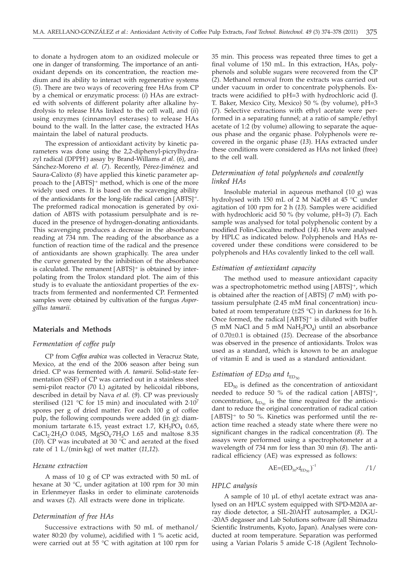to donate a hydrogen atom to an oxidized molecule or one in danger of transforming. The importance of an antioxidant depends on its concentration, the reaction medium and its ability to interact with regenerative systems (*5*). There are two ways of recovering free HAs from CP by a chemical or enzymatic process: (*i*) HAs are extracted with solvents of different polarity after alkaline hydrolysis to release HAs linked to the cell wall, and (*ii*) using enzymes (cinnamoyl esterases) to release HAs bound to the wall. In the latter case, the extracted HAs maintain the label of natural products.

The expression of antioxidant activity by kinetic parameters was done using the 2,2-diphenyl-picrylhydrazyl radical (DPPH**·** ) assay by Brand-Willams *et al*. (*6*), and Sánchez-Moreno *et al.* (*7*). Recently, Pérez-Jiménez and Saura-Calixto (*8*) have applied this kinetic parameter approach to the [ABTS]<sup>+</sup> method, which is one of the more<br>widely used ones It is based on the scavenging ability widely used ones. It is based on the scavenging ability of the antioxidants for the long-life radical cation [ABTS]<sup>+</sup>.<br>The preformed radical monocation is generated by oxi-The preformed radical monocation is generated by oxidation of ABTS with potassium persulphate and is reduced in the presence of hydrogen-donating antioxidants. This scavenging produces a decrease in the absorbance reading at 734 nm. The reading of the absorbance as a function of reaction time of the radical and the presence of antioxidants are shown graphically. The area under the curve generated by the inhibition of the absorbance is calculated. The remanent [ABTS]<sup>+</sup> is obtained by inter-<br>polating from the Trolox standard plot. The aim of this polating from the Trolox standard plot. The aim of this study is to evaluate the antioxidant properties of the extracts from fermented and nonfermented CP. Fermented samples were obtained by cultivation of the fungus *Aspergillus tamarii.*

#### **Materials and Methods**

#### *Fermentation of coffee pulp*

CP from *Coffea arabica* was collected in Veracruz State, Mexico, at the end of the 2006 season after being sun dried. CP was fermented with *A. tamarii*. Solid-state fermentation (SSF) of CP was carried out in a stainless steel semi-pilot reactor (70 L) agitated by helicoidal ribbons, described in detail by Nava *et al.* (*9*). CP was previously sterilised (121 °C for 15 min) and inoculated with 2·10<sup>7</sup> spores per g of dried matter. For each 100 g of coffee pulp, the following compounds were added (in g): diammonium tartarate 6.15, yeast extract 1.7,  $KH_2PO_4$  0.65,  $CaCl_2·2H_2O$  0.045, MgSO<sub>4</sub>·7H<sub>2</sub>O 1.65 and maltose 8.35 (*10*). CP was incubated at 30 °C and aerated at the fixed rate of 1 L/(min·kg) of wet matter (*11,12*).

#### *Hexane extraction*

A mass of 10 g of CP was extracted with 50 mL of hexane at 30 °C, under agitation at 100 rpm for 30 min in Erlenmeyer flasks in order to eliminate carotenoids and waxes (*2*). All extracts were done in triplicate.

### *Determination of free HAs*

Successive extractions with 50 mL of methanol/ water 80:20 (by volume), acidified with 1 % acetic acid, were carried out at 55 °C with agitation at 100 rpm for 35 min. This process was repeated three times to get a final volume of 150 mL. In this extraction, HAs, polyphenols and soluble sugars were recovered from the CP (*2*). Methanol removal from the extracts was carried out under vacuum in order to concentrate polyphenols. Extracts were acidified to pH=3 with hydrochloric acid (J. T. Baker, Mexico City, Mexico) 50 % (by volume), pH=3 (*7*). Selective extractions with ethyl acetate were performed in a separating funnel; at a ratio of sample/ethyl acetate of 1:2 (by volume) allowing to separate the aqueous phase and the organic phase. Polyphenols were recovered in the organic phase (*13*). HAs extracted under these conditions were considered as HAs not linked (free) to the cell wall.

# *Determination of total polyphenols and covalently linked HAs*

Insoluble material in aqueous methanol (10 g) was hydrolysed with 150 mL of 2 M NaOH at 45 °C under agitation of 100 rpm for 2 h (*13*). Samples were acidified with hydrochloric acid 50 % (by volume, pH=3) (*7*). Each sample was analysed for total polyphenolic content by a modified Folin-Ciocalteu method (*14*). HAs were analysed by HPLC as indicated below. Polyphenols and HAs recovered under these conditions were considered to be polyphenols and HAs covalently linked to the cell wall.

### *Estimation of antioxidant capacity*

The method used to measure antioxidant capacity was a spectrophotometric method using [ABTS]<sup>+</sup>, which<br>is obtained after the reaction of [ABTS] (7 mM) with no is obtained after the reaction of [ABTS] (7 mM) with potassium persulphate (2.45 mM final concentration) incubated at room temperature  $(\pm 25 \degree C)$  in darkness for 16 h. Once formed, the radical [ABTS]<sup>+</sup> is diluted with buffer<br>(5 mM NaCl and 5 mM NaH-PO) until an absorbance (5 mM NaCl and 5 mM NaH<sub>2</sub>PO<sub>4</sub>) until an absorbance of 0.70±0.1 is obtained (*15*). Decrease of the absorbance was observed in the presence of antioxidants. Trolox was used as a standard, which is known to be an analogue of vitamin E and is used as a standard antioxidant.

# *Estimation of ED<sub>50</sub> and*  $t_{ED_{50}}$

 $ED_{50}$  is defined as the concentration of antioxidant needed to reduce 50 % of the radical cation [ABTS]<sup>+</sup>,<br>concentration t is the time required for the antioxiconcentration,  $t_{\text{ED}_{50}}$  is the time required for the antioxidant to reduce the original concentration of radical cation [ABTS]<sup>+</sup> to 50 %. Kinetics was performed until the re-<br>action time reached a steady state where there were no action time reached a steady state where there were no significant changes in the radical concentration (*8*). The assays were performed using a spectrophotometer at a wavelength of 734 nm for less than 30 min (*8*). The antiradical efficiency (AE) was expressed as follows:

$$
AE = (ED_{50} \times t_{ED_{50}})^{-1} \tag{1/}
$$

#### *HPLC analysis*

A sample of 10 µL of ethyl acetate extract was analysed on an HPLC system equipped with SPD-M20A array diode detector, a SIL-20AHT autosampler, a DGU- -20A5 degasser and Lab Solutions software (all Shimadzu Scientific Instruments, Kyoto, Japan). Analyses were conducted at room temperature. Separation was performed using a Varian Polaris 5 amide C-18 (Agilent Technolo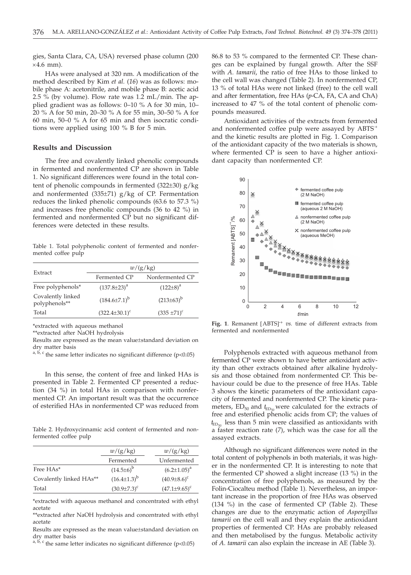gies, Santa Clara, CA, USA) reversed phase column (200  $\times4.6$  mm).

HAs were analysed at 320 nm. A modification of the method described by Kim *et al.* (*16*) was as follows: mobile phase A: acetonitrile, and mobile phase B: acetic acid 2.5 % (by volume). Flow rate was 1.2 mL/min. The applied gradient was as follows: 0–10 % A for 30 min, 10– 20 % A for 50 min, 20–30 % A for 55 min, 30–50 % A for 60 min, 50–0 % A for 65 min and then isocratic conditions were applied using 100 % B for 5 min.

#### **Results and Discussion**

The free and covalently linked phenolic compounds in fermented and nonfermented CP are shown in Table 1. No significant differences were found in the total content of phenolic compounds in fermented  $(322\pm30)$  g/kg and nonfermented (335 $\pm$ 71) g/kg of CP. Fermentation reduces the linked phenolic compounds (63.6 to 57.3 %) and increases free phenolic compounds (36 to 42 %) in fermented and nonfermented CP but no significant differences were detected in these results.

Table 1. Total polyphenolic content of fermented and nonfermented coffee pulp

|                                    | w/(g/kg)             |                  |  |
|------------------------------------|----------------------|------------------|--|
| Extract                            | Fermented CP         | Nonfermented CP  |  |
| Free polyphenols*                  | $(137.8 \pm 23)^a$   | $(122\pm8)^{a}$  |  |
| Covalently linked<br>polyphenols** | $(184.6\pm7.1)^b$    | $(213\pm63)^{b}$ |  |
| Total                              | $(322.4 \pm 30.1)^c$ | $(335 \pm 71)^c$ |  |
|                                    |                      |                  |  |

\*extracted with aqueous methanol

\*\*extracted after NaOH hydrolysis

Results are expressed as the mean value±standard deviation on dry matter basis

<sup>a, b, c</sup> the same letter indicates no significant difference (p<0.05)

In this sense, the content of free and linked HAs is presented in Table 2. Fermented CP presented a reduction (34 %) in total HAs in comparison with nonfermented CP. An important result was that the occurrence of esterified HAs in nonfermented CP was reduced from

Table 2. Hydroxycinnamic acid content of fermented and nonfermented coffee pulp

|                         | w/(g/kg)             | w/(g/kg)           |
|-------------------------|----------------------|--------------------|
|                         | Fermented            | Unfermented        |
| Free HAs*               | $(14.5\pm6)^{b}$     | $(6.2 \pm 1.05)^a$ |
| Covalently linked HAs** | $(16.4 \pm 1.3)^{b}$ | $(40.9 \pm 8.6)^c$ |
| Total                   | $(30.9 \pm 7.3)^c$   | $(47.1\pm9.65)^c$  |
|                         |                      |                    |

\*extracted with aqueous methanol and concentrated with ethyl acetate

\*\*extracted after NaOH hydrolysis and concentrated with ethyl acetate

Results are expressed as the mean value±standard deviation on dry matter basis

<sup>a, b, c</sup> the same letter indicates no significant difference (p<0.05)

86.8 to 53 % compared to the fermented CP. These changes can be explained by fungal growth. After the SSF with *A. tamarii*, the ratio of free HAs to those linked to the cell wall was changed (Table 2). In nonfermented CP, 13 % of total HAs were not linked (free) to the cell wall and after fermentation, free HAs (*p*-CA, FA, CA and ChA) increased to 47 % of the total content of phenolic compounds measured.

Antioxidant activities of the extracts from fermented and nonfermented coffee pulp were assayed by ABTS<sup>+</sup> and the kinetic results are plotted in Fig. 1. Comparison of the antioxidant capacity of the two materials is shown, where fermented CP is seen to have a higher antioxidant capacity than nonfermented CP.



**Fig. 1.** Remanent [ABTS]<sup>+</sup> *vs.* time of different extracts from<br>fermented and nonfermented fermented and nonfermented

Polyphenols extracted with aqueous methanol from fermented CP were shown to have better antioxidant activity than other extracts obtained after alkaline hydrolysis and those obtained from nonfermented CP. This behaviour could be due to the presence of free HAs. Table 3 shows the kinetic parameters of the antioxidant capacity of fermented and nonfermented CP. The kinetic parameters,  $ED_{50}$  and  $t_{ED_{50}}$  were calculated for the extracts of free and esterified phenolic acids from CP; the values of  $t_{\text{ED}_{50}}$  less than 5 min were classified as antioxidants with a faster reaction rate (*7*), which was the case for all the assayed extracts.

Although no significant differences were noted in the total content of polyphenols in both materials, it was higher in the nonfermented CP. It is interesting to note that the fermented CP showed a slight increase (13 %) in the concentration of free polyphenols, as measured by the Folin-Ciocalteu method (Table 1). Nevertheless, an important increase in the proportion of free HAs was observed (134 %) in the case of fermented CP (Table 2). These changes are due to the enzymatic action of *Aspergillus tamarii* on the cell wall and they explain the antioxidant properties of fermented CP. HAs are probably released and then metabolised by the fungus. Metabolic activity of *A*. *tamarii* can also explain the increase in AE (Table 3).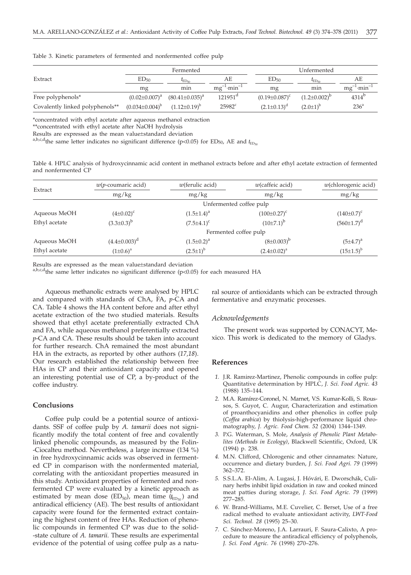|                                 | Fermented             |                       | Unfermented                  |                      |                     |                              |
|---------------------------------|-----------------------|-----------------------|------------------------------|----------------------|---------------------|------------------------------|
| Extract                         | ED <sub>50</sub>      | $E_{\text{ED}}$       | AЕ                           | ED <sub>50</sub>     | $E_{\text{ED}}$     | AE                           |
|                                 | mg                    | min                   | $mg^{-1}$ ·min <sup>-1</sup> | mg                   | min                 | $mg^{-1}$ ·min <sup>-1</sup> |
| Free polyphenols*               | $(0.02 \pm 0.007)^a$  | $(80.41 \pm 0.035)^a$ | $121951^d$                   | $(0.19 \pm 0.087)^c$ | $(1.2\pm0.002)^{p}$ | $4314^{b}$                   |
| Covalently linked polyphenols** | $(0.034 \pm 0.004)^b$ | $(1.12\pm0.19)^{b}$   | $25982$ <sup>c</sup>         | $(2.1\pm0.13)^d$     | $(2.0 \pm 1)^{b}$   | 236 <sup>a</sup>             |
|                                 |                       |                       |                              |                      |                     |                              |

Table 3. Kinetic parameters of fermented and nonfermented coffee pulp

\*concentrated with ethyl acetate after aqueous methanol extraction

\*\*concentrated with ethyl acetate after NaOH hydrolysis

Results are expressed as the mean value±standard deviation

a,b,c,d<sub>the same</sub> letter indicates no significant difference (p<0.05) for ED<sub>50</sub>, AE and  $t_{\text{ED}_{50}}$ 

Table 4. HPLC analysis of hydroxycinnamic acid content in methanol extracts before and after ethyl acetate extraction of fermented and nonfermented CP

| Extract       | $w(p$ -coumaric acid) | $w$ (ferulic acid)    | $w$ (caffeic acid)      | $w$ (chlorogenic acid) |
|---------------|-----------------------|-----------------------|-------------------------|------------------------|
|               | mg/kg                 | mg/kg                 | mg/kg                   | mg/kg                  |
|               |                       |                       | Unfermented coffee pulp |                        |
| Aqueous MeOH  | $(4\pm0.02)^c$        | $(1.5 \pm 1.4)^a$     | $(100\pm0.27)^c$        | $(140\pm0.7)^c$        |
| Ethyl acetate | $(3.3 \pm 0.3)^{b}$   | $(7.5 \pm 4.1)^c$     | $(10\pm7.1)^b$          | $(560 \pm 1.7)^d$      |
|               |                       | Fermented coffee pulp |                         |                        |
| Aqueous MeOH  | $(4.4 \pm 0.003)^d$   | $(1.5 \pm 0.2)^a$     | $(8\pm0.003)^{b}$       | $(5±4.7)^{a}$          |
| Ethyl acetate | $(1\pm0.6)^a$         | $(2.5 \pm 1)^{b}$     | $(2.4 \pm 0.02)^a$      | $(15\pm1.5)^{b}$       |

Results are expressed as the mean value±standard deviation

a,b,c,d<sub>the same</sub> letter indicates no significant difference (p<0.05) for each measured HA

Aqueous methanolic extracts were analysed by HPLC and compared with standards of ChA, FA, *p*-CA and CA. Table 4 shows the HA content before and after ethyl acetate extraction of the two studied materials. Results showed that ethyl acetate preferentially extracted ChA and FA, while aqueous methanol preferentially extracted *p*-CA and CA. These results should be taken into account for further research. ChA remained the most abundant HA in the extracts, as reported by other authors (*17,18*). Our research established the relationship between free HAs in CP and their antioxidant capacity and opened an interesting potential use of CP, a by-product of the coffee industry.

#### **Conclusions**

Coffee pulp could be a potential source of antioxidants. SSF of coffee pulp by *A. tamarii* does not significantly modify the total content of free and covalently linked phenolic compounds, as measured by the Folin- -Ciocalteu method. Nevertheless, a large increase (134 %) in free hydroxycinnamic acids was observed in fermented CP in comparison with the nonfermented material, correlating with the antioxidant properties measured in this study. Antioxidant properties of fermented and nonfermented CP were evaluated by a kinetic approach as estimated by mean dose (ED<sub>50</sub>), mean time ( $t_{\text{ED}_{50}}$ ) and antiradical efficiency (AE). The best results of antioxidant capacity were found for the fermented extract containing the highest content of free HAs. Reduction of phenolic compounds in fermented CP was due to the solid- -state culture of *A. tamarii*. These results are experimental evidence of the potential of using coffee pulp as a natu-

ral source of antioxidants which can be extracted through fermentative and enzymatic processes.

#### *Acknowledgements*

The present work was supported by CONACYT, Mexico. This work is dedicated to the memory of Gladys.

## **References**

- *1.* J.R. Ramirez-Martinez, Phenolic compounds in coffee pulp: Quantitative determination by HPLC, *J. Sci. Food Agric. 43* (1988) 135–144.
- *2.* M.A. Ramírez-Coronel, N. Marnet, V.S. Kumar-Kolli, S. Roussos, S. Guyot, C. Augur, Characterization and estimation of proanthocyanidins and other phenolics in coffee pulp (*Coffea arabica*) by thiolysis-high-performance liquid chromatography, *J. Agric. Food Chem. 52* (2004) 1344–1349.
- *3.* P.G. Waterman, S. Mole, *Analysis of Phenolic Plant Metabolites (Methods in Ecology)*, Blackwell Scientific, Oxford, UK (1994) p. 238.
- *4.* M.N. Clifford, Chlorogenic and other cinnamates: Nature, occurrence and dietary burden, *J. Sci. Food Agri. 79* (1999) 362–372.
- *5.* S.S.L.A. El-Alim, A. Lugasi, J. Hóvári, E. Dworschák, Culinary herbs inhibit lipid oxidation in raw and cooked minced meat patties during storage, *J. Sci. Food Agric. 79* (1999) 277–285.
- *6.* W. Brand-Williams, M.E. Cuvelier, C. Berset, Use of a free radical method to evaluate antioxidant activity, *LWT-Food Sci. Technol. 28* (1995) 25–30.
- *7.* C. Sánchez-Moreno, J.A. Larrauri, F. Saura-Calixto, A procedure to measure the antiradical efficiency of polyphenols, *J. Sci. Food Agric. 76* (1998) 270–276.